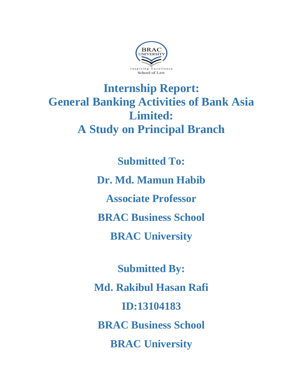

# **Internship Report: General Banking Activities of Bank Asia Limited: A Study on Principal Branch**

**Submitted To: Dr. Md. Mamun Habib Associate Professor BRAC Business School BRAC University**

**Submitted By: Md. Rakibul Hasan Rafi ID:13104183 BRAC Business School BRAC University**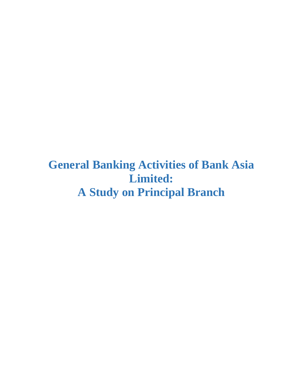**General Banking Activities of Bank Asia Limited: A Study on Principal Branch**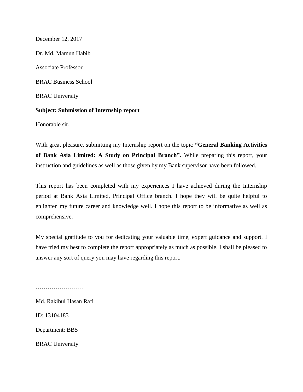December 12, 2017 Dr. Md. Mamun Habib Associate Professor BRAC Business School BRAC University **Subject: Submission of Internship report**

Honorable sir,

With great pleasure, submitting my Internship report on the topic **"General Banking Activities of Bank Asia Limited: A Study on Principal Branch".** While preparing this report, your instruction and guidelines as well as those given by my Bank supervisor have been followed.

This report has been completed with my experiences I have achieved during the Internship period at Bank Asia Limited, Principal Office branch. I hope they will be quite helpful to enlighten my future career and knowledge well. I hope this report to be informative as well as comprehensive.

My special gratitude to you for dedicating your valuable time, expert guidance and support. I have tried my best to complete the report appropriately as much as possible. I shall be pleased to answer any sort of query you may have regarding this report.

Md. Rakibul Hasan Rafi ID: 13104183

………………………

Department: BBS

BRAC University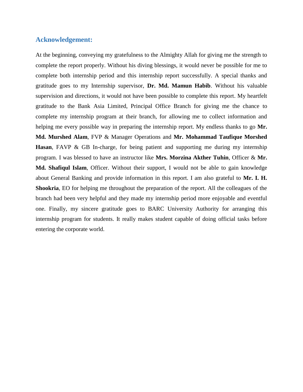#### **Acknowledgement:**

At the beginning, conveying my gratefulness to the Almighty Allah for giving me the strength to complete the report properly. Without his diving blessings, it would never be possible for me to complete both internship period and this internship report successfully. A special thanks and gratitude goes to my Internship supervisor, **Dr. Md. Mamun Habib**. Without his valuable supervision and directions, it would not have been possible to complete this report. My heartfelt gratitude to the Bank Asia Limited, Principal Office Branch for giving me the chance to complete my internship program at their branch, for allowing me to collect information and helping me every possible way in preparing the internship report. My endless thanks to go **Mr. Md. Murshed Alam**, FVP & Manager Operations and **Mr. Mohammad Taufique Morshed Hasan**, FAVP & GB In-charge, for being patient and supporting me during my internship program. I was blessed to have an instructor like **Mrs. Morzina Akther Tuhin**, Officer & **Mr. Md. Shafiqul Islam**, Officer. Without their support, I would not be able to gain knowledge about General Banking and provide information in this report. I am also grateful to **Mr. I. H. Shookria**, EO for helping me throughout the preparation of the report. All the colleagues of the branch had been very helpful and they made my internship period more enjoyable and eventful one. Finally, my sincere gratitude goes to BARC University Authority for arranging this internship program for students. It really makes student capable of doing official tasks before entering the corporate world.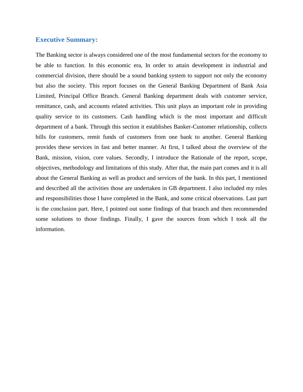#### **Executive Summary:**

The Banking sector is always considered one of the most fundamental sectors for the economy to be able to function. In this economic era, In order to attain development in industrial and commercial division, there should be a sound banking system to support not only the economy but also the society. This report focuses on the General Banking Department of Bank Asia Limited, Principal Office Branch. General Banking department deals with customer service, remittance, cash, and accounts related activities. This unit plays an important role in providing quality service to its customers. Cash handling which is the most important and difficult department of a bank. Through this section it establishes Banker-Customer relationship, collects bills for customers, remit funds of customers from one bank to another. General Banking provides these services in fast and better manner. At first, I talked about the overview of the Bank, mission, vision, core values. Secondly, I introduce the Rationale of the report, scope, objectives, methodology and limitations of this study. After that, the main part comes and it is all about the General Banking as well as product and services of the bank. In this part, I mentioned and described all the activities those are undertaken in GB department. I also included my roles and responsibilities those I have completed in the Bank, and some critical observations. Last part is the conclusion part. Here, I pointed out some findings of that branch and then recommended some solutions to those findings. Finally, I gave the sources from which I took all the information.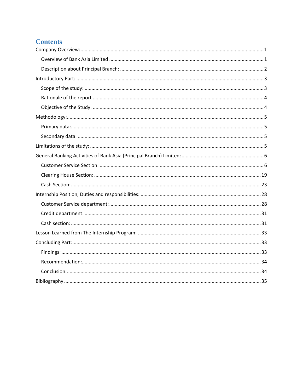### **Contents**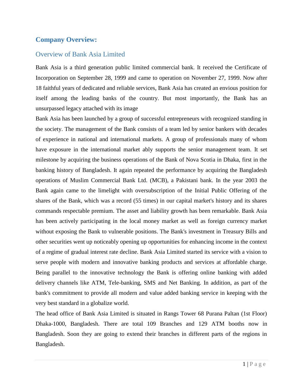### <span id="page-6-0"></span>**Company Overview:**

### <span id="page-6-1"></span>Overview of Bank Asia Limited

Bank Asia is a third generation public limited commercial bank. It received the Certificate of Incorporation on September 28, 1999 and came to operation on November 27, 1999. Now after 18 faithful years of dedicated and reliable services, Bank Asia has created an envious position for itself among the leading banks of the country. But most importantly, the Bank has an unsurpassed legacy attached with its image

Bank Asia has been launched by a group of successful entrepreneurs with recognized standing in the society. The management of the Bank consists of a team led by senior bankers with decades of experience in national and international markets. A group of professionals many of whom have exposure in the international market ably supports the senior management team. It set milestone by acquiring the business operations of the Bank of Nova Scotia in Dhaka, first in the banking history of Bangladesh. It again repeated the performance by acquiring the Bangladesh operations of Muslim Commercial Bank Ltd. (MCB), a Pakistani bank. In the year 2003 the Bank again came to the limelight with oversubscription of the Initial Public Offering of the shares of the Bank, which was a record (55 times) in our capital market's history and its shares commands respectable premium. The asset and liability growth has been remarkable. Bank Asia has been actively participating in the local money market as well as foreign currency market without exposing the Bank to vulnerable positions. The Bank's investment in Treasury Bills and other securities went up noticeably opening up opportunities for enhancing income in the context of a regime of gradual interest rate decline. Bank Asia Limited started its service with a vision to serve people with modern and innovative banking products and services at affordable charge. Being parallel to the innovative technology the Bank is offering online banking with added delivery channels like ATM, Tele-banking, SMS and Net Banking. In addition, as part of the bank's commitment to provide all modern and value added banking service in keeping with the very best standard in a globalize world.

The head office of Bank Asia Limited is situated in Rangs Tower 68 Purana Paltan (1st Floor) Dhaka-1000, Bangladesh. There are total 109 Branches and 129 ATM booths now in Bangladesh. Soon they are going to extend their branches in different parts of the regions in Bangladesh.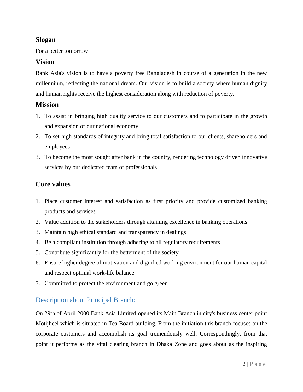### **Slogan**

For a better tomorrow

### **Vision**

Bank Asia's vision is to have a poverty free Bangladesh in course of a generation in the new millennium, reflecting the national dream. Our vision is to build a society where human dignity and human rights receive the highest consideration along with reduction of poverty.

#### **Mission**

- 1. To assist in bringing high quality service to our customers and to participate in the growth and expansion of our national economy
- 2. To set high standards of integrity and bring total satisfaction to our clients, shareholders and employees
- 3. To become the most sought after bank in the country, rendering technology driven innovative services by our dedicated team of professionals

### **Core values**

- 1. Place customer interest and satisfaction as first priority and provide customized banking products and services
- 2. Value addition to the stakeholders through attaining excellence in banking operations
- 3. Maintain high ethical standard and transparency in dealings
- 4. Be a compliant institution through adhering to all regulatory requirements
- 5. Contribute significantly for the betterment of the society
- 6. Ensure higher degree of motivation and dignified working environment for our human capital and respect optimal work-life balance
- 7. Committed to protect the environment and go green

### <span id="page-7-0"></span>Description about Principal Branch:

On 29th of April 2000 Bank Asia Limited opened its Main Branch in city's business center point Motijheel which is situated in Tea Board building. From the initiation this branch focuses on the corporate customers and accomplish its goal tremendously well. Correspondingly, from that point it performs as the vital clearing branch in Dhaka Zone and goes about as the inspiring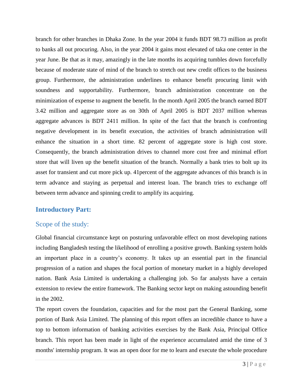branch for other branches in Dhaka Zone. In the year 2004 it funds BDT 98.73 million as profit to banks all out procuring. Also, in the year 2004 it gains most elevated of taka one center in the year June. Be that as it may, amazingly in the late months its acquiring tumbles down forcefully because of moderate state of mind of the branch to stretch out new credit offices to the business group. Furthermore, the administration underlines to enhance benefit procuring limit with soundness and supportability. Furthermore, branch administration concentrate on the minimization of expense to augment the benefit. In the month April 2005 the branch earned BDT 3.42 million and aggregate store as on 30th of April 2005 is BDT 2037 million whereas aggregate advances is BDT 2411 million. In spite of the fact that the branch is confronting negative development in its benefit execution, the activities of branch administration will enhance the situation in a short time. 82 percent of aggregate store is high cost store. Consequently, the branch administration drives to channel more cost free and minimal effort store that will liven up the benefit situation of the branch. Normally a bank tries to bolt up its asset for transient and cut more pick up. 41percent of the aggregate advances of this branch is in term advance and staying as perpetual and interest loan. The branch tries to exchange off between term advance and spinning credit to amplify its acquiring.

### <span id="page-8-0"></span>**Introductory Part:**

### <span id="page-8-1"></span>Scope of the study:

Global financial circumstance kept on posturing unfavorable effect on most developing nations including Bangladesh testing the likelihood of enrolling a positive growth. Banking system holds an important place in a country"s economy. It takes up an essential part in the financial progression of a nation and shapes the focal portion of monetary market in a highly developed nation. Bank Asia Limited is undertaking a challenging job. So far analysts have a certain extension to review the entire framework. The Banking sector kept on making astounding benefit in the 2002.

The report covers the foundation, capacities and for the most part the General Banking, some portion of Bank Asia Limited. The planning of this report offers an incredible chance to have a top to bottom information of banking activities exercises by the Bank Asia, Principal Office branch. This report has been made in light of the experience accumulated amid the time of 3 months' internship program. It was an open door for me to learn and execute the whole procedure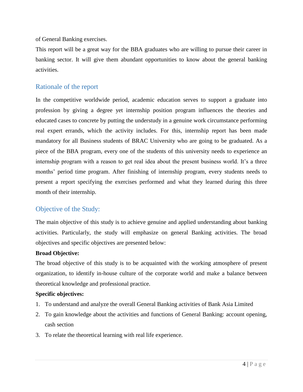of General Banking exercises.

This report will be a great way for the BBA graduates who are willing to pursue their career in banking sector. It will give them abundant opportunities to know about the general banking activities.

### <span id="page-9-0"></span>Rationale of the report

In the competitive worldwide period, academic education serves to support a graduate into profession by giving a degree yet internship position program influences the theories and educated cases to concrete by putting the understudy in a genuine work circumstance performing real expert errands, which the activity includes. For this, internship report has been made mandatory for all Business students of BRAC University who are going to be graduated. As a piece of the BBA program, every one of the students of this university needs to experience an internship program with a reason to get real idea about the present business world. It's a three months' period time program. After finishing of internship program, every students needs to present a report specifying the exercises performed and what they learned during this three month of their internship.

### <span id="page-9-1"></span>Objective of the Study:

The main objective of this study is to achieve genuine and applied understanding about banking activities. Particularly, the study will emphasize on general Banking activities. The broad objectives and specific objectives are presented below:

#### **Broad Objective:**

The broad objective of this study is to be acquainted with the working atmosphere of present organization, to identify in-house culture of the corporate world and make a balance between theoretical knowledge and professional practice.

#### **Specific objectives:**

- 1. To understand and analyze the overall General Banking activities of Bank Asia Limited
- 2. To gain knowledge about the activities and functions of General Banking: account opening, cash section
- 3. To relate the theoretical learning with real life experience.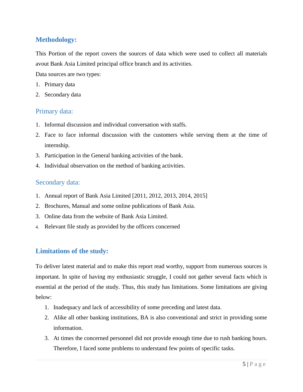### <span id="page-10-0"></span>**Methodology:**

This Portion of the report covers the sources of data which were used to collect all materials avout Bank Asia Limited principal office branch and its activities.

Data sources are two types:

- 1. Primary data
- 2. Secondary data

### <span id="page-10-1"></span>Primary data:

- 1. Informal discussion and individual conversation with staffs.
- 2. Face to face informal discussion with the customers while serving them at the time of internship.
- 3. Participation in the General banking activities of the bank.
- 4. Individual observation on the method of banking activities.

#### <span id="page-10-2"></span>Secondary data:

- 1. Annual report of Bank Asia Limited [2011, 2012, 2013, 2014, 2015]
- 2. Brochures, Manual and some online publications of Bank Asia.
- 3. Online data from the website of Bank Asia Limited.
- 4. Relevant file study as provided by the officers concerned

### <span id="page-10-3"></span>**Limitations of the study:**

To deliver latest material and to make this report read worthy, support from numerous sources is important. In spite of having my enthusiastic struggle, I could not gather several facts which is essential at the period of the study. Thus, this study has limitations. Some limitations are giving below:

- 1. Inadequacy and lack of accessibility of some preceding and latest data.
- 2. Alike all other banking institutions, BA is also conventional and strict in providing some information.
- 3. At times the concerned personnel did not provide enough time due to rush banking hours. Therefore, I faced some problems to understand few points of specific tasks.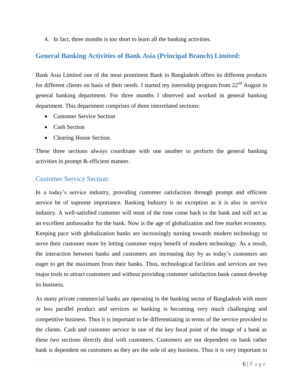4. In fact, three months is too short to learn all the banking activities.

### <span id="page-11-0"></span>**General Banking Activities of Bank Asia (Principal Branch) Limited:**

Bank Asia Limited one of the most prominent Bank in Bangladesh offers its different products for different clients on basis of their needs. I started my internship program from 22<sup>nd</sup> August in general banking department. For three months I observed and worked in general banking department. This department comprises of three interrelated sections:

- Customer Service Section
- Cash Section
- Clearing House Section.

These three sections always coordinate with one another to perform the general banking activities in prompt & efficient manner.

### <span id="page-11-1"></span>Customer Service Section:

In a today"s service industry, providing customer satisfaction through prompt and efficient service be of supreme importance. Banking Industry is no exception as it is also in service industry. A well-satisfied customer will most of the time come back to the bank and will act as an excellent ambassador for the bank. Now is the age of globalization and free market economy. Keeping pace with globalization banks are increasingly turning towards modern technology to serve their customer more by letting customer enjoy benefit of modern technology. As a result, the interaction between banks and customers are increasing day by as today"s customers are eager to get the maximum from their banks. Thus, technological facilities and services are two major tools to attract customers and without providing customer satisfaction bank cannot develop its business.

As many private commercial banks are operating in the banking sector of Bangladesh with more or less parallel product and services so banking is becoming very much challenging and competitive business. Thus it is important to be differentiating in terms of the service provided to the clients. Cash and customer service in one of the key focal point of the image of a bank as these two sections directly deal with customers. Customers are not dependent on bank rather bank is dependent on customers as they are the sole of any business. Thus it is very important to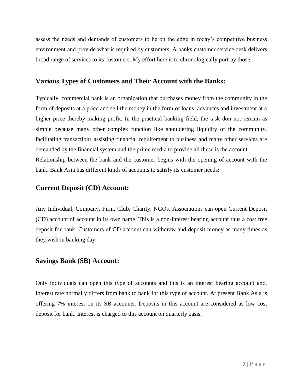assess the needs and demands of customers to be on the edge in today"s competitive business environment and provide what is required by customers. A banks customer service desk delivers broad range of services to its customers. My effort here is to chronologically portray those.

### **Various Types of Customers and Their Account with the Banks:**

Typically, commercial bank is an organization that purchases money from the community in the form of deposits at a price and sell the money in the form of loans, advances and investment at a higher price thereby making profit. In the practical banking field, the task don not remain as simple because many other complex function like shouldering liquidity of the community, facilitating transactions assisting financial requirement to business and many other services are demanded by the financial system and the prime media to provide all these is the account. Relationship between the bank and the customer begins with the opening of account with the bank. Bank Asia has different kinds of accounts to satisfy its customer needs:

### **Current Deposit (CD) Account:**

Any Individual, Company, Firm, Club, Charity, NGOs, Associations can open Current Deposit (CD) account of account in its own name. This is a non-interest bearing account thus a cost free deposit for bank. Customers of CD account can withdraw and deposit money as many times as they wish in banking day.

### **Savings Bank (SB) Account:**

Only individuals can open this type of accounts and this is an interest bearing account and. Interest rate normally differs from bank to bank for this type of account. At present Bank Asia is offering 7% interest on its SB accounts. Deposits in this account are considered as low cost deposit for bank. Interest is charged to this account on quarterly basis.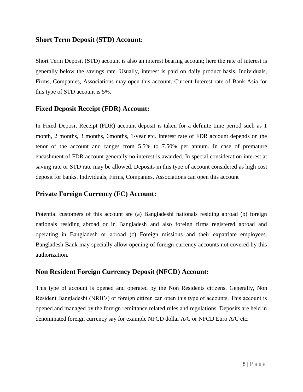#### **Short Term Deposit (STD) Account:**

Short Term Deposit (STD) account is also an interest bearing account; here the rate of interest is generally below the savings rate. Usually, interest is paid on daily product basis. Individuals, Firms, Companies, Associations may open this account. Current Interest rate of Bank Asia for this type of STD account is 5%.

### **Fixed Deposit Receipt (FDR) Account:**

In Fixed Deposit Receipt (FDR) account deposit is taken for a definite time period such as 1 month, 2 months, 3 months, 6months, 1-year etc. Interest rate of FDR account depends on the tenor of the account and ranges from 5.5% to 7.50% per annum. In case of premature encashment of FDR account generally no interest is awarded. In special consideration interest at saving rate or STD rate may be allowed. Deposits in this type of account considered as high cost deposit for banks. Individuals, Firms, Companies, Associations can open this account

### **Private Foreign Currency (FC) Account:**

Potential customers of this account are (a) Bangladeshi nationals residing abroad (b) foreign nationals residing abroad or in Bangladesh and also foreign firms registered abroad and operating in Bangladesh or abroad (c) Foreign missions and their expatriate employees. Bangladesh Bank may specially allow opening of foreign currency accounts not covered by this authorization.

### **Non Resident Foreign Currency Deposit (NFCD) Account:**

This type of account is opened and operated by the Non Residents citizens. Generally, Non Resident Bangladeshi (NRB"s) or foreign citizen can open this type of accounts. This account is opened and managed by the foreign remittance related rules and regulations. Deposits are held in denominated foreign currency say for example NFCD dollar A/C or NFCD Euro A/C etc.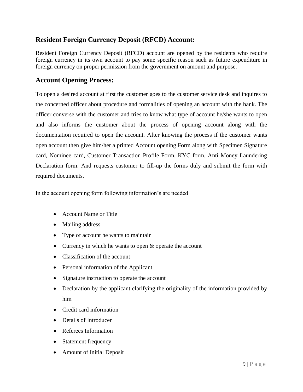### **Resident Foreign Currency Deposit (RFCD) Account:**

Resident Foreign Currency Deposit (RFCD) account are opened by the residents who require foreign currency in its own account to pay some specific reason such as future expenditure in foreign currency on proper permission from the government on amount and purpose.

### **Account Opening Process:**

To open a desired account at first the customer goes to the customer service desk and inquires to the concerned officer about procedure and formalities of opening an account with the bank. The officer converse with the customer and tries to know what type of account he/she wants to open and also informs the customer about the process of opening account along with the documentation required to open the account. After knowing the process if the customer wants open account then give him/her a printed Account opening Form along with Specimen Signature card, Nominee card, Customer Transaction Profile Form, KYC form, Anti Money Laundering Declaration form. And requests customer to fill-up the forms duly and submit the form with required documents.

In the account opening form following information's are needed

- Account Name or Title
- Mailing address
- Type of account he wants to maintain
- Currency in which he wants to open & operate the account
- Classification of the account
- Personal information of the Applicant
- Signature instruction to operate the account
- Declaration by the applicant clarifying the originality of the information provided by him
- Credit card information
- Details of Introducer
- Referees Information
- Statement frequency
- Amount of Initial Deposit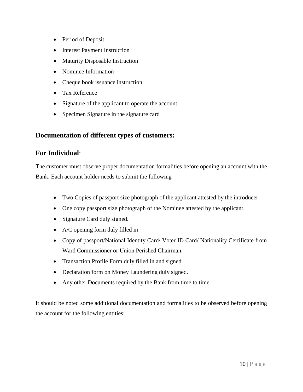- Period of Deposit
- Interest Payment Instruction
- Maturity Disposable Instruction
- Nominee Information
- Cheque book issuance instruction
- Tax Reference
- Signature of the applicant to operate the account
- Specimen Signature in the signature card

### **Documentation of different types of customers:**

### **For Individual**:

The customer must observe proper documentation formalities before opening an account with the Bank. Each account holder needs to submit the following

- Two Copies of passport size photograph of the applicant attested by the introducer
- One copy passport size photograph of the Nominee attested by the applicant.
- Signature Card duly signed.
- A/C opening form duly filled in
- Copy of passport/National Identity Card/ Voter ID Card/ Nationality Certificate from Ward Commissioner or Union Perished Chairman.
- Transaction Profile Form duly filled in and signed.
- Declaration form on Money Laundering duly signed.
- Any other Documents required by the Bank from time to time.

It should be noted some additional documentation and formalities to be observed before opening the account for the following entities: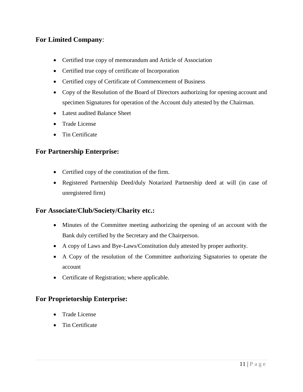### **For Limited Company**:

- Certified true copy of memorandum and Article of Association
- Certified true copy of certificate of Incorporation
- Certified copy of Certificate of Commencement of Business
- Copy of the Resolution of the Board of Directors authorizing for opening account and specimen Signatures for operation of the Account duly attested by the Chairman.
- Latest audited Balance Sheet
- Trade License
- Tin Certificate

### **For Partnership Enterprise:**

- Certified copy of the constitution of the firm.
- Registered Partnership Deed/duly Notarized Partnership deed at will (in case of unregistered firm)

### **For Associate/Club/Society/Charity etc.:**

- Minutes of the Committee meeting authorizing the opening of an account with the Bank duly certified by the Secretary and the Chairperson.
- A copy of Laws and Bye-Laws/Constitution duly attested by proper authority.
- A Copy of the resolution of the Committee authorizing Signatories to operate the account
- Certificate of Registration; where applicable.

### **For Proprietorship Enterprise:**

- Trade License
- Tin Certificate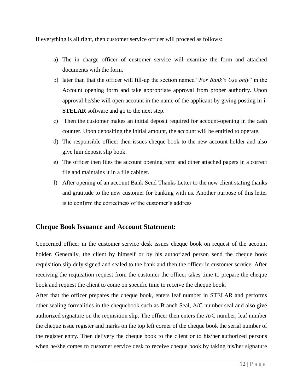If everything is all right, then customer service officer will proceed as follows:

- a) The in charge officer of customer service will examine the form and attached documents with the form.
- b) later than that the officer will fill-up the section named "*For Bank's Use only*" in the Account opening form and take appropriate approval from proper authority. Upon approval he/she will open account in the name of the applicant by giving posting in **i-STELAR** software and go to the next step.
- c) Then the customer makes an initial deposit required for account-opening in the cash counter. Upon depositing the initial amount, the account will be entitled to operate.
- d) The responsible officer then issues cheque book to the new account holder and also give him deposit slip book.
- e) The officer then files the account opening form and other attached papers in a correct file and maintains it in a file cabinet.
- f) After opening of an account Bank Send Thanks Letter to the new client stating thanks and gratitude to the new customer for banking with us. Another purpose of this letter is to confirm the correctness of the customer's address

### **Cheque Book Issuance and Account Statement:**

Concerned officer in the customer service desk issues cheque book on request of the account holder. Generally, the client by himself or by his authorized person send the cheque book requisition slip duly signed and sealed to the bank and then the officer in customer service. After receiving the requisition request from the customer the officer takes time to prepare the cheque book and request the client to come on specific time to receive the cheque book.

After that the officer prepares the cheque book, enters leaf number in STELAR and performs other sealing formalities in the chequebook such as Branch Seal, A/C number seal and also give authorized signature on the requisition slip. The officer then enters the A/C number, leaf number the cheque issue register and marks on the top left corner of the cheque book the serial number of the register entry. Then delivery the cheque book to the client or to his/her authorized persons when he/she comes to customer service desk to receive cheque book by taking his/her signature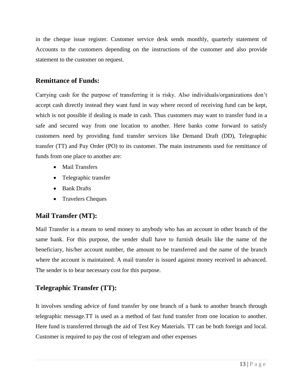in the cheque issue register. Customer service desk sends monthly, quarterly statement of Accounts to the customers depending on the instructions of the customer and also provide statement to the customer on request.

### **Remittance of Funds:**

Carrying cash for the purpose of transferring it is risky. Also individuals/organizations don"t accept cash directly instead they want fund in way where record of receiving fund can be kept, which is not possible if dealing is made in cash. Thus customers may want to transfer fund in a safe and secured way from one location to another. Here banks come forward to satisfy customers need by providing fund transfer services like Demand Draft (DD), Telegraphic transfer (TT) and Pay Order (PO) to its customer. The main instruments used for remittance of funds from one place to another are:

- Mail Transfers
- Telegraphic transfer
- Bank Drafts
- Travelers Cheques

### **Mail Transfer (MT):**

Mail Transfer is a means to send money to anybody who has an account in other branch of the same bank. For this purpose, the sender shall have to furnish details like the name of the beneficiary, his/her account number, the amount to be transferred and the name of the branch where the account is maintained. A mail transfer is issued against money received in advanced. The sender is to bear necessary cost for this purpose.

### **Telegraphic Transfer (TT):**

It involves sending advice of fund transfer by one branch of a bank to another branch through telegraphic message.TT is used as a method of fast fund transfer from one location to another. Here fund is transferred through the aid of Test Key Materials. TT can be both foreign and local. Customer is required to pay the cost of telegram and other expenses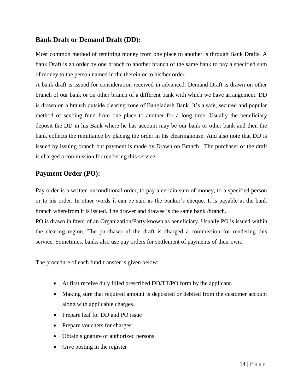### **Bank Draft or Demand Draft (DD):**

Most common method of remitting money from one place to another is through Bank Drafts. A bank Draft is an order by one branch to another branch of the same bank to pay a specified sum of money to the person named in the therein or to his/her order

A bank draft is issued for consideration received in advanced. Demand Draft is drawn on other branch of our bank or on other branch of a different bank with which we have arrangement. DD is drawn on a branch outside clearing zone of Bangladesh Bank. It"s a safe, secured and popular method of sending fund from one place to another for a long time. Usually the beneficiary deposit the DD in his Bank where he has account may be our bank or other bank and then the bank collects the remittance by placing the order in his clearinghouse. And also note that DD is issued by issuing branch but payment is made by Drawn on Branch. The purchaser of the draft is charged a commission for rendering this service.

### **Payment Order (PO):**

Pay order is a written unconditional order, to pay a certain sum of money, to a specified person or to his order. In other words it can be said as the banker"s cheque. It is payable at the bank branch wherefrom it is issued. The drawer and drawee is the same bank /branch.

PO is drawn in favor of an Organization/Party known as beneficiary. Usually PO is issued within the clearing region. The purchaser of the draft is charged a commission for rendering this service. Sometimes, banks also use pay orders for settlement of payments of their own.

The procedure of each fund transfer is given below:

- At first receive duly filled prescribed DD/TT/PO form by the applicant.
- Making sure that required amount is deposited or debited from the customer account along with applicable charges.
- Prepare leaf for DD and PO issue
- Prepare vouchers for charges.
- Obtain signature of authorized persons.
- Give posting in the register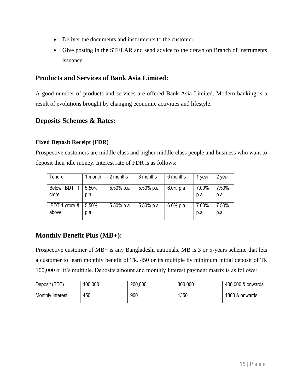- Deliver the documents and instruments to the customer
- Give posting in the STELAR and send advice to the drawn on Branch of instruments issuance.

### **Products and Services of Bank Asia Limited:**

A good number of products and services are offered Bank Asia Limited. Modern banking is a result of evolutions brought by changing economic activities and lifestyle.

### **Deposits Schemes & Rates:**

#### **Fixed Deposit Receipt (FDR)**

Prospective customers are middle class and higher middle class people and business who want to deposit their idle money. Interest rate of FDR is as follows:

| Tenure                     | month | 2 months  | 3 months  | 6 months    | vear  | 2 year |
|----------------------------|-------|-----------|-----------|-------------|-------|--------|
| <b>Below</b><br><b>BDT</b> | 5.50% | 5.50% p.a | 5.50% p.a | $6.0\%$ p.a | 7.00% | 7.50%  |
| crore                      | p.a   |           |           |             | p.a   | p.a    |
| BDT 1 crore &              | 5.50% | 5.50% p.a | 5.50% p.a | $6.0\%$ p.a | 7.00% | 7.50%  |
| above                      | p.a   |           |           |             | p.a   | p.a    |

### **Monthly Benefit Plus (MB+):**

Prospective customer of MB+ is any Bangladeshi nationals. MB is 3 or 5-years scheme that lets a customer to earn monthly benefit of Tk. 450 or its multiple by minimum initial deposit of Tk 100,000 or it"s multiple. Deposits amount and monthly Interest payment matrix is as follows:

| Deposit (BDT)    | 100,000 | 200,000 | 300,000 | 400,000 & onwards |
|------------------|---------|---------|---------|-------------------|
| Monthly Interest | 450     | 900     | 1350    | 1800 & onwards    |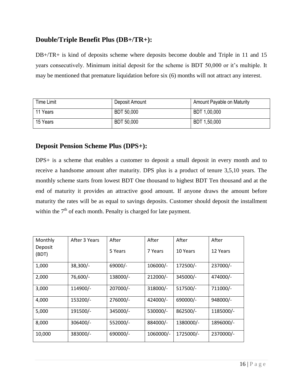### **Double/Triple Benefit Plus (DB+/TR+):**

DB+/TR+ is kind of deposits scheme where deposits become double and Triple in 11 and 15 years consecutively. Minimum initial deposit for the scheme is BDT 50,000 or it's multiple. It may be mentioned that premature liquidation before six (6) months will not attract any interest.

| <b>Time Limit</b> | Deposit Amount    | Amount Payable on Maturity |
|-------------------|-------------------|----------------------------|
| 11 Years          | <b>BDT 50,000</b> | BDT 1,00,000               |
| 15 Years          | BDT 50,000        | BDT 1,50,000               |

### **Deposit Pension Scheme Plus (DPS+):**

DPS+ is a scheme that enables a customer to deposit a small deposit in every month and to receive a handsome amount after maturity. DPS plus is a product of tenure 3,5,10 years. The monthly scheme starts from lowest BDT One thousand to highest BDT Ten thousand and at the end of maturity it provides an attractive good amount. If anyone draws the amount before maturity the rates will be as equal to savings deposits. Customer should deposit the installment within the  $7<sup>th</sup>$  of each month. Penalty is charged for late payment.

| Monthly          | After 3 Years | After     | After      | After     | After     |
|------------------|---------------|-----------|------------|-----------|-----------|
| Deposit<br>(BDT) |               | 5 Years   | 7 Years    | 10 Years  | 12 Years  |
| 1,000            | $38,300/-$    | $69000/-$ | $106000/-$ | 172500/-  | 237000/-  |
| 2,000            | 76,600/-      | 138000/-  | 212000/-   | 345000/-  | 474000/-  |
| 3,000            | 114900/-      | 207000/-  | 318000/-   | 517500/-  | 711000/-  |
| 4,000            | 153200/-      | 276000/-  | 424000/-   | 690000/-  | 948000/-  |
| 5,000            | 191500/-      | 345000/-  | 530000/-   | 862500/-  | 1185000/- |
| 8,000            | 306400/-      | 552000/-  | 884000/-   | 1380000/- | 1896000/- |
| 10,000           | 383000/-      | 690000/-  | 1060000/-  | 1725000/- | 2370000/- |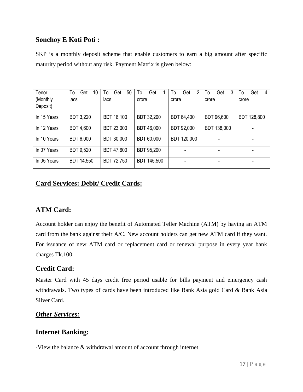### **Sonchoy E Koti Poti :**

SKP is a monthly deposit scheme that enable customers to earn a big amount after specific maturity period without any risk. Payment Matrix is given below:

| Tenor       | To<br>Get<br>10   | 50<br>Get<br>To   | Get<br>To         | 2<br>Get<br>To | Get<br>3<br>To | Get<br>To<br>4 |
|-------------|-------------------|-------------------|-------------------|----------------|----------------|----------------|
| (Monthly    | lacs              | lacs              | crore             | crore          | crore          | crore          |
| Deposit)    |                   |                   |                   |                |                |                |
| In 15 Years | <b>BDT 3,220</b>  | <b>BDT 16,100</b> | BDT 32,200        | BDT 64,400     | BDT 96,600     | BDT 128,800    |
| In 12 Years | <b>BDT 4,600</b>  | <b>BDT 23,000</b> | <b>BDT 46,000</b> | BDT 92,000     | BDT 138,000    |                |
| In 10 Years | <b>BDT 6,000</b>  | BDT 30,000        | BDT 60,000        | BDT 120,000    |                |                |
| In 07 Years | <b>BDT 9,520</b>  | BDT 47,600        | <b>BDT 95,200</b> |                |                |                |
| In 05 Years | <b>BDT 14,550</b> | BDT 72,750        | BDT 145,500       |                |                |                |

### **Card Services: Debit/ Credit Cards:**

### **ATM Card:**

Account holder can enjoy the benefit of Automated Teller Machine (ATM) by having an ATM card from the bank against their A/C. New account holders can get new ATM card if they want. For issuance of new ATM card or replacement card or renewal purpose in every year bank charges Tk.100.

### **Credit Card:**

Master Card with 45 days credit free period usable for bills payment and emergency cash withdrawals. Two types of cards have been introduced like Bank Asia gold Card & Bank Asia Silver Card.

#### *Other Services:*

#### **Internet Banking:**

-View the balance & withdrawal amount of account through internet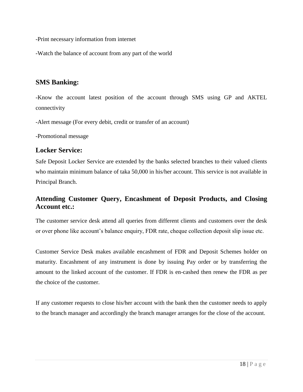-Print necessary information from internet

-Watch the balance of account from any part of the world

### **SMS Banking:**

-Know the account latest position of the account through SMS using GP and AKTEL connectivity

-Alert message (For every debit, credit or transfer of an account)

-Promotional message

### **Locker Service:**

Safe Deposit Locker Service are extended by the banks selected branches to their valued clients who maintain minimum balance of taka 50,000 in his/her account. This service is not available in Principal Branch.

### **Attending Customer Query, Encashment of Deposit Products, and Closing Account etc.:**

The customer service desk attend all queries from different clients and customers over the desk or over phone like account"s balance enquiry, FDR rate, cheque collection deposit slip issue etc.

Customer Service Desk makes available encashment of FDR and Deposit Schemes holder on maturity. Encashment of any instrument is done by issuing Pay order or by transferring the amount to the linked account of the customer. If FDR is en-cashed then renew the FDR as per the choice of the customer.

If any customer requests to close his/her account with the bank then the customer needs to apply to the branch manager and accordingly the branch manager arranges for the close of the account.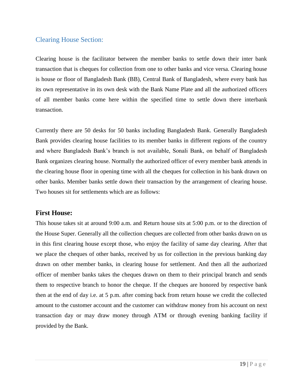### <span id="page-24-0"></span>Clearing House Section:

Clearing house is the facilitator between the member banks to settle down their inter bank transaction that is cheques for collection from one to other banks and vice versa. Clearing house is house or floor of Bangladesh Bank (BB), Central Bank of Bangladesh, where every bank has its own representative in its own desk with the Bank Name Plate and all the authorized officers of all member banks come here within the specified time to settle down there interbank transaction.

Currently there are 50 desks for 50 banks including Bangladesh Bank. Generally Bangladesh Bank provides clearing house facilities to its member banks in different regions of the country and where Bangladesh Bank"s branch is not available, Sonali Bank, on behalf of Bangladesh Bank organizes clearing house. Normally the authorized officer of every member bank attends in the clearing house floor in opening time with all the cheques for collection in his bank drawn on other banks. Member banks settle down their transaction by the arrangement of clearing house. Two houses sit for settlements which are as follows:

#### **First House:**

This house takes sit at around 9:00 a.m. and Return house sits at 5:00 p.m. or to the direction of the House Super. Generally all the collection cheques are collected from other banks drawn on us in this first clearing house except those, who enjoy the facility of same day clearing. After that we place the cheques of other banks, received by us for collection in the previous banking day drawn on other member banks, in clearing house for settlement. And then all the authorized officer of member banks takes the cheques drawn on them to their principal branch and sends them to respective branch to honor the cheque. If the cheques are honored by respective bank then at the end of day i.e. at 5 p.m. after coming back from return house we credit the collected amount to the customer account and the customer can withdraw money from his account on next transaction day or may draw money through ATM or through evening banking facility if provided by the Bank.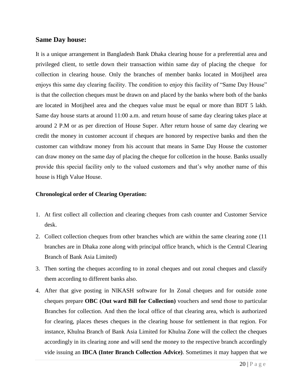#### **Same Day house:**

It is a unique arrangement in Bangladesh Bank Dhaka clearing house for a preferential area and privileged client, to settle down their transaction within same day of placing the cheque for collection in clearing house. Only the branches of member banks located in Motijheel area enjoys this same day clearing facility. The condition to enjoy this facility of "Same Day House" is that the collection cheques must be drawn on and placed by the banks where both of the banks are located in Motijheel area and the cheques value must be equal or more than BDT 5 lakh. Same day house starts at around 11:00 a.m. and return house of same day clearing takes place at around 2 P.M or as per direction of House Super. After return house of same day clearing we credit the money in customer account if cheques are honored by respective banks and then the customer can withdraw money from his account that means in Same Day House the customer can draw money on the same day of placing the cheque for collcetion in the house. Banks usually provide this special facility only to the valued customers and that"s why another name of this house is High Value House.

#### **Chronological order of Clearing Operation:**

- 1. At first collect all collection and clearing cheques from cash counter and Customer Service desk.
- 2. Collect collection cheques from other branches which are within the same clearing zone (11 branches are in Dhaka zone along with principal office branch, which is the Central Clearing Branch of Bank Asia Limited)
- 3. Then sorting the cheques according to in zonal cheques and out zonal cheques and classify them according to different banks also.
- 4. After that give posting in NIKASH software for In Zonal cheques and for outside zone cheques prepare **OBC (Out ward Bill for Collection)** vouchers and send those to particular Branches for collection. And then the local office of that clearing area, which is authorized for clearing, places theses cheques in the clearing house for settlement in that region. For instance, Khulna Branch of Bank Asia Limited for Khulna Zone will the collect the cheques accordingly in its clearing zone and will send the money to the respective branch accordingly vide issuing an **IBCA (Inter Branch Collection Advice)**. Sometimes it may happen that we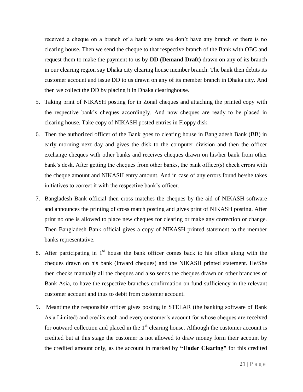received a cheque on a branch of a bank where we don"t have any branch or there is no clearing house. Then we send the cheque to that respective branch of the Bank with OBC and request them to make the payment to us by **DD (Demand Draft)** drawn on any of its branch in our clearing region say Dhaka city clearing house member branch. The bank then debits its customer account and issue DD to us drawn on any of its member branch in Dhaka city. And then we collect the DD by placing it in Dhaka clearinghouse.

- 5. Taking print of NIKASH posting for in Zonal cheques and attaching the printed copy with the respective bank"s cheques accordingly. And now cheques are ready to be placed in clearing house. Take copy of NIKASH posted entries in Floppy disk.
- 6. Then the authorized officer of the Bank goes to clearing house in Bangladesh Bank (BB) in early morning next day and gives the disk to the computer division and then the officer exchange cheques with other banks and receives cheques drawn on his/her bank from other bank's desk. After getting the cheques from other banks, the bank officer(s) check errors with the cheque amount and NIKASH entry amount. And in case of any errors found he/she takes initiatives to correct it with the respective bank"s officer.
- 7. Bangladesh Bank official then cross matches the cheques by the aid of NIKASH software and announces the printing of cross match posting and gives print of NIKASH posting. After print no one is allowed to place new cheques for clearing or make any correction or change. Then Bangladesh Bank official gives a copy of NIKASH printed statement to the member banks representative.
- 8. After participating in  $1<sup>st</sup>$  house the bank officer comes back to his office along with the cheques drawn on his bank (Inward cheques) and the NIKASH printed statement. He/She then checks manually all the cheques and also sends the cheques drawn on other branches of Bank Asia, to have the respective branches confirmation on fund sufficiency in the relevant customer account and thus to debit from customer account.
- 9. Meantime the responsible officer gives posting in STELAR (the banking software of Bank Asia Limited) and credits each and every customer"s account for whose cheques are received for outward collection and placed in the  $1<sup>st</sup>$  clearing house. Although the customer account is credited but at this stage the customer is not allowed to draw money form their account by the credited amount only, as the account in marked by **"Under Clearing"** for this credited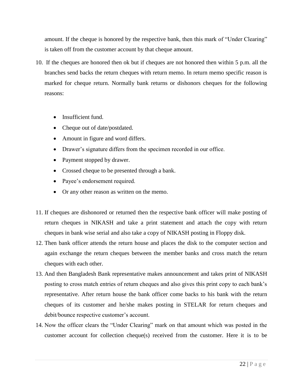amount. If the cheque is honored by the respective bank, then this mark of "Under Clearing" is taken off from the customer account by that cheque amount.

- 10. If the cheques are honored then ok but if cheques are not honored then within 5 p.m. all the branches send backs the return cheques with return memo. In return memo specific reason is marked for cheque return. Normally bank returns or dishonors cheques for the following reasons:
	- Insufficient fund.
	- Cheque out of date/postdated.
	- Amount in figure and word differs.
	- Drawer's signature differs from the specimen recorded in our office.
	- Payment stopped by drawer.
	- Crossed cheque to be presented through a bank.
	- Payee's endorsement required.
	- Or any other reason as written on the memo.
- 11. If cheques are dishonored or returned then the respective bank officer will make posting of return cheques in NIKASH and take a print statement and attach the copy with return cheques in bank wise serial and also take a copy of NIKASH posting in Floppy disk.
- 12. Then bank officer attends the return house and places the disk to the computer section and again exchange the return cheques between the member banks and cross match the return cheques with each other.
- 13. And then Bangladesh Bank representative makes announcement and takes print of NIKASH posting to cross match entries of return cheques and also gives this print copy to each bank"s representative. After return house the bank officer come backs to his bank with the return cheques of its customer and he/she makes posting in STELAR for return cheques and debit/bounce respective customer's account.
- 14. Now the officer clears the "Under Clearing" mark on that amount which was posted in the customer account for collection cheque(s) received from the customer. Here it is to be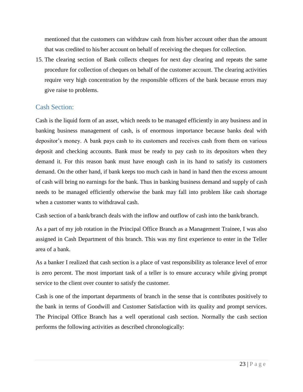mentioned that the customers can withdraw cash from his/her account other than the amount that was credited to his/her account on behalf of receiving the cheques for collection.

15. The clearing section of Bank collects cheques for next day clearing and repeats the same procedure for collection of cheques on behalf of the customer account. The clearing activities require very high concentration by the responsible officers of the bank because errors may give raise to problems.

#### <span id="page-28-0"></span>Cash Section:

Cash is the liquid form of an asset, which needs to be managed efficiently in any business and in banking business management of cash, is of enormous importance because banks deal with depositor"s money. A bank pays cash to its customers and receives cash from them on various deposit and checking accounts. Bank must be ready to pay cash to its depositors when they demand it. For this reason bank must have enough cash in its hand to satisfy its customers demand. On the other hand, if bank keeps too much cash in hand in hand then the excess amount of cash will bring no earnings for the bank. Thus in banking business demand and supply of cash needs to be managed efficiently otherwise the bank may fall into problem like cash shortage when a customer wants to withdrawal cash.

Cash section of a bank/branch deals with the inflow and outflow of cash into the bank/branch.

As a part of my job rotation in the Principal Office Branch as a Management Trainee, I was also assigned in Cash Department of this branch. This was my first experience to enter in the Teller area of a bank.

As a banker I realized that cash section is a place of vast responsibility as tolerance level of error is zero percent. The most important task of a teller is to ensure accuracy while giving prompt service to the client over counter to satisfy the customer.

Cash is one of the important departments of branch in the sense that is contributes positively to the bank in terms of Goodwill and Customer Satisfaction with its quality and prompt services. The Principal Office Branch has a well operational cash section. Normally the cash section performs the following activities as described chronologically: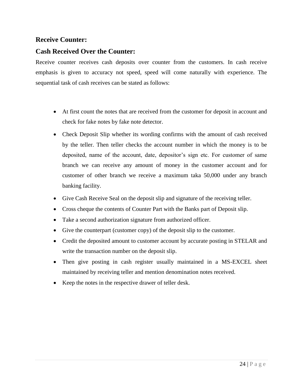### **Receive Counter:**

### **Cash Received Over the Counter:**

Receive counter receives cash deposits over counter from the customers. In cash receive emphasis is given to accuracy not speed, speed will come naturally with experience. The sequential task of cash receives can be stated as follows:

- At first count the notes that are received from the customer for deposit in account and check for fake notes by fake note detector.
- Check Deposit Slip whether its wording confirms with the amount of cash received by the teller. Then teller checks the account number in which the money is to be deposited, name of the account, date, depositor's sign etc. For customer of same branch we can receive any amount of money in the customer account and for customer of other branch we receive a maximum taka 50,000 under any branch banking facility.
- Give Cash Receive Seal on the deposit slip and signature of the receiving teller.
- Cross cheque the contents of Counter Part with the Banks part of Deposit slip.
- Take a second authorization signature from authorized officer.
- Give the counterpart (customer copy) of the deposit slip to the customer.
- Credit the deposited amount to customer account by accurate posting in STELAR and write the transaction number on the deposit slip.
- Then give posting in cash register usually maintained in a MS-EXCEL sheet maintained by receiving teller and mention denomination notes received.
- Keep the notes in the respective drawer of teller desk.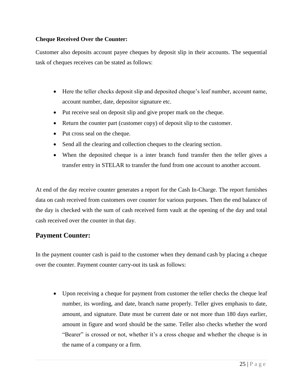#### **Cheque Received Over the Counter:**

Customer also deposits account payee cheques by deposit slip in their accounts. The sequential task of cheques receives can be stated as follows:

- Here the teller checks deposit slip and deposited cheque"s leaf number, account name, account number, date, depositor signature etc.
- Put receive seal on deposit slip and give proper mark on the cheque.
- Return the counter part (customer copy) of deposit slip to the customer.
- Put cross seal on the cheque.
- Send all the clearing and collection cheques to the clearing section.
- When the deposited cheque is a inter branch fund transfer then the teller gives a transfer entry in STELAR to transfer the fund from one account to another account.

At end of the day receive counter generates a report for the Cash In-Charge. The report furnishes data on cash received from customers over counter for various purposes. Then the end balance of the day is checked with the sum of cash received form vault at the opening of the day and total cash received over the counter in that day.

### **Payment Counter:**

In the payment counter cash is paid to the customer when they demand cash by placing a cheque over the counter. Payment counter carry-out its task as follows:

 Upon receiving a cheque for payment from customer the teller checks the cheque leaf number, its wording, and date, branch name properly. Teller gives emphasis to date, amount, and signature. Date must be current date or not more than 180 days earlier, amount in figure and word should be the same. Teller also checks whether the word "Bearer" is crossed or not, whether it's a cross cheque and whether the cheque is in the name of a company or a firm.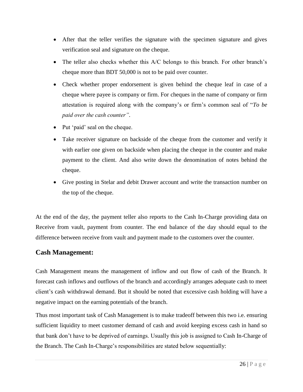- After that the teller verifies the signature with the specimen signature and gives verification seal and signature on the cheque.
- The teller also checks whether this A/C belongs to this branch. For other branch's cheque more than BDT 50,000 is not to be paid over counter.
- Check whether proper endorsement is given behind the cheque leaf in case of a cheque where payee is company or firm. For cheques in the name of company or firm attestation is required along with the company"s or firm"s common seal of "*To be paid over the cash counter"*.
- Put 'paid' seal on the cheque.
- Take receiver signature on backside of the cheque from the customer and verify it with earlier one given on backside when placing the cheque in the counter and make payment to the client. And also write down the denomination of notes behind the cheque.
- Give posting in Stelar and debit Drawer account and write the transaction number on the top of the cheque.

At the end of the day, the payment teller also reports to the Cash In-Charge providing data on Receive from vault, payment from counter. The end balance of the day should equal to the difference between receive from vault and payment made to the customers over the counter.

#### **Cash Management:**

Cash Management means the management of inflow and out flow of cash of the Branch. It forecast cash inflows and outflows of the branch and accordingly arranges adequate cash to meet client"s cash withdrawal demand. But it should be noted that excessive cash holding will have a negative impact on the earning potentials of the branch.

Thus most important task of Cash Management is to make tradeoff between this two i.e. ensuring sufficient liquidity to meet customer demand of cash and avoid keeping excess cash in hand so that bank don"t have to be deprived of earnings. Usually this job is assigned to Cash In-Charge of the Branch. The Cash In-Charge's responsibilities are stated below sequentially: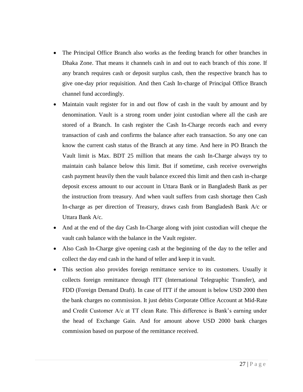- The Principal Office Branch also works as the feeding branch for other branches in Dhaka Zone. That means it channels cash in and out to each branch of this zone. If any branch requires cash or deposit surplus cash, then the respective branch has to give one-day prior requisition. And then Cash In-charge of Principal Office Branch channel fund accordingly.
- Maintain vault register for in and out flow of cash in the vault by amount and by denomination. Vault is a strong room under joint custodian where all the cash are stored of a Branch. In cash register the Cash In-Charge records each and every transaction of cash and confirms the balance after each transaction. So any one can know the current cash status of the Branch at any time. And here in PO Branch the Vault limit is Max. BDT 25 million that means the cash In-Charge always try to maintain cash balance below this limit. But if sometime, cash receive overweighs cash payment heavily then the vault balance exceed this limit and then cash in-charge deposit excess amount to our account in Uttara Bank or in Bangladesh Bank as per the instruction from treasury. And when vault suffers from cash shortage then Cash In-charge as per direction of Treasury, draws cash from Bangladesh Bank A/c or Uttara Bank A/c.
- And at the end of the day Cash In-Charge along with joint custodian will cheque the vault cash balance with the balance in the Vault register.
- Also Cash In-Charge give opening cash at the beginning of the day to the teller and collect the day end cash in the hand of teller and keep it in vault.
- This section also provides foreign remittance service to its customers. Usually it collects foreign remittance through ITT (International Telegraphic Transfer), and FDD (Foreign Demand Draft). In case of ITT if the amount is below USD 2000 then the bank charges no commission. It just debits Corporate Office Account at Mid-Rate and Credit Customer A/c at TT clean Rate. This difference is Bank"s earning under the head of Exchange Gain. And for amount above USD 2000 bank charges commission based on purpose of the remittance received.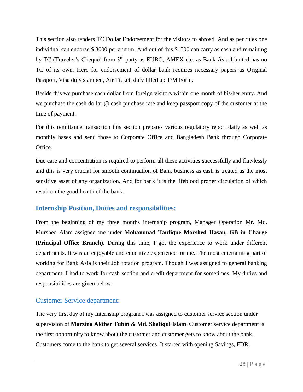This section also renders TC Dollar Endorsement for the visitors to abroad. And as per rules one individual can endorse \$ 3000 per annum. And out of this \$1500 can carry as cash and remaining by TC (Traveler's Cheque) from 3<sup>rd</sup> party as EURO, AMEX etc. as Bank Asia Limited has no TC of its own. Here for endorsement of dollar bank requires necessary papers as Original Passport, Visa duly stamped, Air Ticket, duly filled up T/M Form.

Beside this we purchase cash dollar from foreign visitors within one month of his/her entry. And we purchase the cash dollar @ cash purchase rate and keep passport copy of the customer at the time of payment.

For this remittance transaction this section prepares various regulatory report daily as well as monthly bases and send those to Corporate Office and Bangladesh Bank through Corporate Office.

Due care and concentration is required to perform all these activities successfully and flawlessly and this is very crucial for smooth continuation of Bank business as cash is treated as the most sensitive asset of any organization. And for bank it is the lifeblood proper circulation of which result on the good health of the bank.

#### <span id="page-33-0"></span>**Internship Position, Duties and responsibilities:**

From the beginning of my three months internship program, Manager Operation Mr. Md. Murshed Alam assigned me under **Mohammad Taufique Morshed Hasan, GB in Charge (Principal Office Branch)**. During this time, I got the experience to work under different departments. It was an enjoyable and educative experience for me. The most entertaining part of working for Bank Asia is their Job rotation program. Though I was assigned to general banking department, I had to work for cash section and credit department for sometimes. My duties and responsibilities are given below:

### <span id="page-33-1"></span>Customer Service department:

The very first day of my Internship program I was assigned to customer service section under supervision of **Morzina Akther Tuhin & Md. Shafiqul Islam**. Customer service department is the first opportunity to know about the customer and customer gets to know about the bank. Customers come to the bank to get several services. It started with opening Savings, FDR,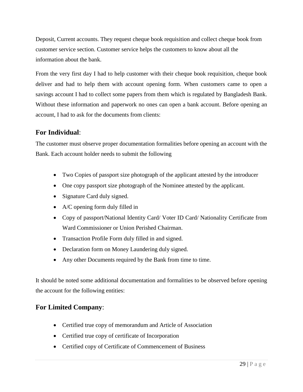Deposit, Current accounts. They request cheque book requisition and collect cheque book from customer service section. Customer service helps the customers to know about all the information about the bank.

From the very first day I had to help customer with their cheque book requisition, cheque book deliver and had to help them with account opening form. When customers came to open a savings account I had to collect some papers from them which is regulated by Bangladesh Bank. Without these information and paperwork no ones can open a bank account. Before opening an account, I had to ask for the documents from clients:

### **For Individual**:

The customer must observe proper documentation formalities before opening an account with the Bank. Each account holder needs to submit the following

- Two Copies of passport size photograph of the applicant attested by the introducer
- One copy passport size photograph of the Nominee attested by the applicant.
- Signature Card duly signed.
- A/C opening form duly filled in
- Copy of passport/National Identity Card/ Voter ID Card/ Nationality Certificate from Ward Commissioner or Union Perished Chairman.
- Transaction Profile Form duly filled in and signed.
- Declaration form on Money Laundering duly signed.
- Any other Documents required by the Bank from time to time.

It should be noted some additional documentation and formalities to be observed before opening the account for the following entities:

### **For Limited Company**:

- Certified true copy of memorandum and Article of Association
- Certified true copy of certificate of Incorporation
- Certified copy of Certificate of Commencement of Business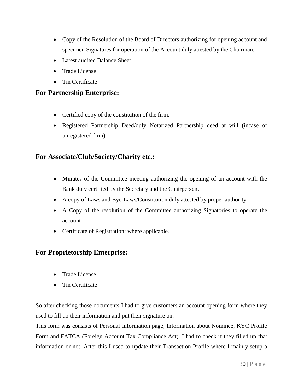- Copy of the Resolution of the Board of Directors authorizing for opening account and specimen Signatures for operation of the Account duly attested by the Chairman.
- Latest audited Balance Sheet
- Trade License
- Tin Certificate

#### **For Partnership Enterprise:**

- Certified copy of the constitution of the firm.
- Registered Partnership Deed/duly Notarized Partnership deed at will (incase of unregistered firm)

#### **For Associate/Club/Society/Charity etc.:**

- Minutes of the Committee meeting authorizing the opening of an account with the Bank duly certified by the Secretary and the Chairperson.
- A copy of Laws and Bye-Laws/Constitution duly attested by proper authority.
- A Copy of the resolution of the Committee authorizing Signatories to operate the account
- Certificate of Registration; where applicable.

### **For Proprietorship Enterprise:**

- Trade License
- Tin Certificate

So after checking those documents I had to give customers an account opening form where they used to fill up their information and put their signature on.

This form was consists of Personal Information page, Information about Nominee, KYC Profile Form and FATCA (Foreign Account Tax Compliance Act). I had to check if they filled up that information or not. After this I used to update their Transaction Profile where I mainly setup a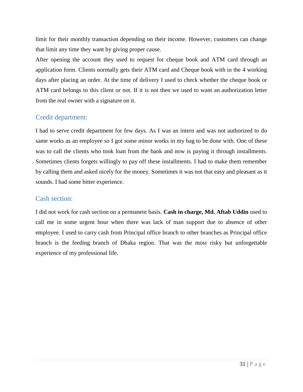limit for their monthly transaction depending on their income. However, customers can change that limit any time they want by giving proper cause.

After opening the account they used to request for cheque book and ATM card through an application form. Clients normally gets their ATM card and Cheque book with in the 4 working days after placing an order. At the time of delivery I used to check whether the cheque book or ATM card belongs to this client or not. If it is not then we used to want an authorization letter from the real owner with a signature on it.

### <span id="page-36-0"></span>Credit department:

I had to serve credit department for few days. As I was an intern and was not authorized to do same works as an employee so I got some minor works in my bag to be done with. One of these was to call the clients who took loan from the bank and now is paying it through installments. Sometimes clients forgets willingly to pay off these installments. I had to make them remember by calling them and asked nicely for the money. Sometimes it was not that easy and pleasant as it sounds. I had some bitter experience.

### <span id="page-36-1"></span>Cash section:

I did not work for cash section on a permanent basis. **Cash in charge, Md. Aftab Uddin** used to call me in some urgent hour when there was lack of man support due to absence of other employee. I used to carry cash from Principal office branch to other branches as Principal office branch is the feeding branch of Dhaka region. That was the most risky but unforgettable experience of my professional life.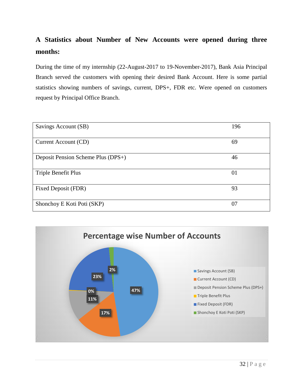## **A Statistics about Number of New Accounts were opened during three months:**

During the time of my internship (22-August-2017 to 19-November-2017), Bank Asia Principal Branch served the customers with opening their desired Bank Account. Here is some partial statistics showing numbers of savings, current, DPS+, FDR etc. Were opened on customers request by Principal Office Branch.

| Savings Account (SB)               | 196 |
|------------------------------------|-----|
| Current Account (CD)               | 69  |
| Deposit Pension Scheme Plus (DPS+) | 46  |
| Triple Benefit Plus                | 01  |
| Fixed Deposit (FDR)                | 93  |
| Shonchoy E Koti Poti (SKP)         | 07  |

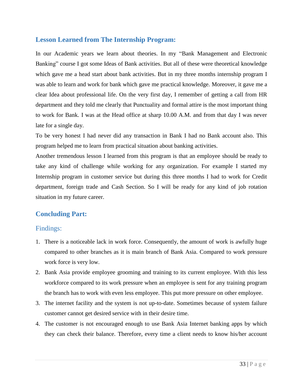### <span id="page-38-0"></span>**Lesson Learned from The Internship Program:**

In our Academic years we learn about theories. In my "Bank Management and Electronic Banking" course I got some Ideas of Bank activities. But all of these were theoretical knowledge which gave me a head start about bank activities. But in my three months internship program I was able to learn and work for bank which gave me practical knowledge. Moreover, it gave me a clear Idea about professional life. On the very first day, I remember of getting a call from HR department and they told me clearly that Punctuality and formal attire is the most important thing to work for Bank. I was at the Head office at sharp 10.00 A.M. and from that day I was never late for a single day.

To be very honest I had never did any transaction in Bank I had no Bank account also. This program helped me to learn from practical situation about banking activities.

Another tremendous lesson I learned from this program is that an employee should be ready to take any kind of challenge while working for any organization. For example I started my Internship program in customer service but during this three months I had to work for Credit department, foreign trade and Cash Section. So I will be ready for any kind of job rotation situation in my future career.

### <span id="page-38-1"></span>**Concluding Part:**

#### <span id="page-38-2"></span>Findings:

- 1. There is a noticeable lack in work force. Consequently, the amount of work is awfully huge compared to other branches as it is main branch of Bank Asia. Compared to work pressure work force is very low.
- 2. Bank Asia provide employee grooming and training to its current employee. With this less workforce compared to its work pressure when an employee is sent for any training program the branch has to work with even less employee. This put more pressure on other employee.
- 3. The internet facility and the system is not up-to-date. Sometimes because of system failure customer cannot get desired service with in their desire time.
- 4. The customer is not encouraged enough to use Bank Asia Internet banking apps by which they can check their balance. Therefore, every time a client needs to know his/her account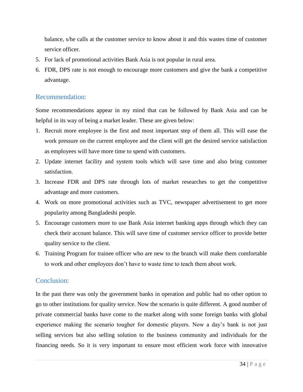balance, s/he calls at the customer service to know about it and this wastes time of customer service officer.

- 5. For lack of promotional activities Bank Asia is not popular in rural area.
- 6. FDR, DPS rate is not enough to encourage more customers and give the bank a competitive advantage.

#### <span id="page-39-0"></span>Recommendation:

Some recommendations appear in my mind that can be followed by Bank Asia and can be helpful in its way of being a market leader. These are given below:

- 1. Recruit more employee is the first and most important step of them all. This will ease the work pressure on the current employee and the client will get the desired service satisfaction as employees will have more time to spend with customers.
- 2. Update internet facility and system tools which will save time and also bring customer satisfaction.
- 3. Increase FDR and DPS rate through lots of market researches to get the competitive advantage and more customers.
- 4. Work on more promotional activities such as TVC, newspaper advertisement to get more popularity among Bangladeshi people.
- 5. Encourage customers more to use Bank Asia internet banking apps through which they can check their account balance. This will save time of customer service officer to provide better quality service to the client.
- 6. Training Program for trainee officer who are new to the branch will make them comfortable to work and other employees don"t have to waste time to teach them about work.

#### <span id="page-39-1"></span>Conclusion:

In the past there was only the government banks in operation and public had no other option to go to other institutions for quality service. Now the scenario is quite different. A good number of private commercial banks have come to the market along with some foreign banks with global experience making the scenario tougher for domestic players. Now a day"s bank is not just selling services but also selling solution to the business community and individuals for the financing needs. So it is very important to ensure most efficient work force with innovative